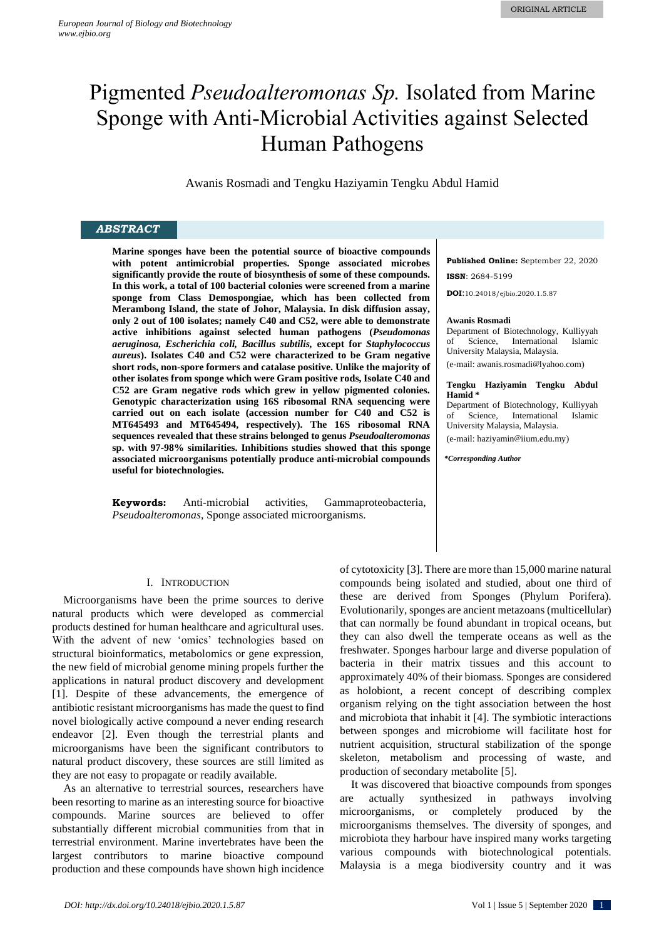# Pigmented *Pseudoalteromonas Sp.* Isolated from Marine Sponge with Anti-Microbial Activities against Selected Human Pathogens

Awanis Rosmadi and Tengku Haziyamin Tengku Abdul Hamid

## *ABSTRACT*

**Marine sponges have been the potential source of bioactive compounds with potent antimicrobial properties. Sponge associated microbes significantly provide the route of biosynthesis of some of these compounds. In this work, a total of 100 bacterial colonies were screened from a marine sponge from Class Demospongiae, which has been collected from Merambong Island, the state of Johor, Malaysia. In disk diffusion assay, only 2 out of 100 isolates; namely C40 and C52, were able to demonstrate active inhibitions against selected human pathogens (***Pseudomonas aeruginosa, Escherichia coli, Bacillus subtilis,* **except for** *Staphylococcus aureus***). Isolates C40 and C52 were characterized to be Gram negative short rods, non-spore formers and catalase positive. Unlike the majority of other isolates from sponge which were Gram positive rods, Isolate C40 and C52 are Gram negative rods which grew in yellow pigmented colonies. Genotypic characterization using 16S ribosomal RNA sequencing were carried out on each isolate (accession number for C40 and C52 is MT645493 and MT645494, respectively). The 16S ribosomal RNA sequences revealed that these strains belonged to genus** *Pseudoalteromonas* **sp. with 97-98% similarities. Inhibitions studies showed that this sponge associated microorganisms potentially produce anti-microbial compounds useful for biotechnologies.**

**Keywords:** Anti-microbial activities, Gammaproteobacteria, *Pseudoalteromonas*, Sponge associated microorganisms.

## I. INTRODUCTION

Microorganisms have been the prime sources to derive natural products which were developed as commercial products destined for human healthcare and agricultural uses. With the advent of new 'omics' technologies based on structural bioinformatics, metabolomics or gene expression, the new field of microbial genome mining propels further the applications in natural product discovery and development [\[1\]](#page-4-0). Despite of these advancements, the emergence of antibiotic resistant microorganisms has made the quest to find novel biologically active compound a never ending research endeavor [\[2\]](#page-4-1). Even though the terrestrial plants and microorganisms have been the significant contributors to natural product discovery, these sources are still limited as they are not easy to propagate or readily available.

As an alternative to terrestrial sources, researchers have been resorting to marine as an interesting source for bioactive compounds. Marine sources are believed to offer substantially different microbial communities from that in terrestrial environment. Marine invertebrates have been the largest contributors to marine bioactive compound production and these compounds have shown high incidence **Published Online:** September 22, 2020 **ISSN**: 2684-5199

**DOI**:10.24018/ejbio.2020.1.5.87

#### **Awanis Rosmadi**

Department of Biotechnology, Kulliyyah of Science, International Islamic University Malaysia, Malaysia.

(e-mail: awanis.rosmadi@lyahoo.com)

#### **Tengku Haziyamin Tengku Abdul Hamid \***

Department of Biotechnology, Kulliyyah of Science, International Islamic University Malaysia, Malaysia. (e-mail: haziyamin@iium.edu.my)

*\*Corresponding Author*

of cytotoxicity [\[3\]](#page-4-2). There are more than 15,000 marine natural compounds being isolated and studied, about one third of these are derived from Sponges (Phylum Porifera). Evolutionarily, sponges are ancient metazoans (multicellular) that can normally be found abundant in tropical oceans, but they can also dwell the temperate oceans as well as the freshwater. Sponges harbour large and diverse population of bacteria in their matrix tissues and this account to approximately 40% of their biomass. Sponges are considered as holobiont, a recent concept of describing complex organism relying on the tight association between the host and microbiota that inhabit it [\[4\]](#page-4-3). The symbiotic interactions between sponges and microbiome will facilitate host for nutrient acquisition, structural stabilization of the sponge skeleton, metabolism and processing of waste, and production of secondary metabolite [\[5\]](#page-4-4).

It was discovered that bioactive compounds from sponges are actually synthesized in pathways involving microorganisms, or completely produced by the microorganisms themselves. The diversity of sponges, and microbiota they harbour have inspired many works targeting various compounds with biotechnological potentials. Malaysia is a mega biodiversity country and it was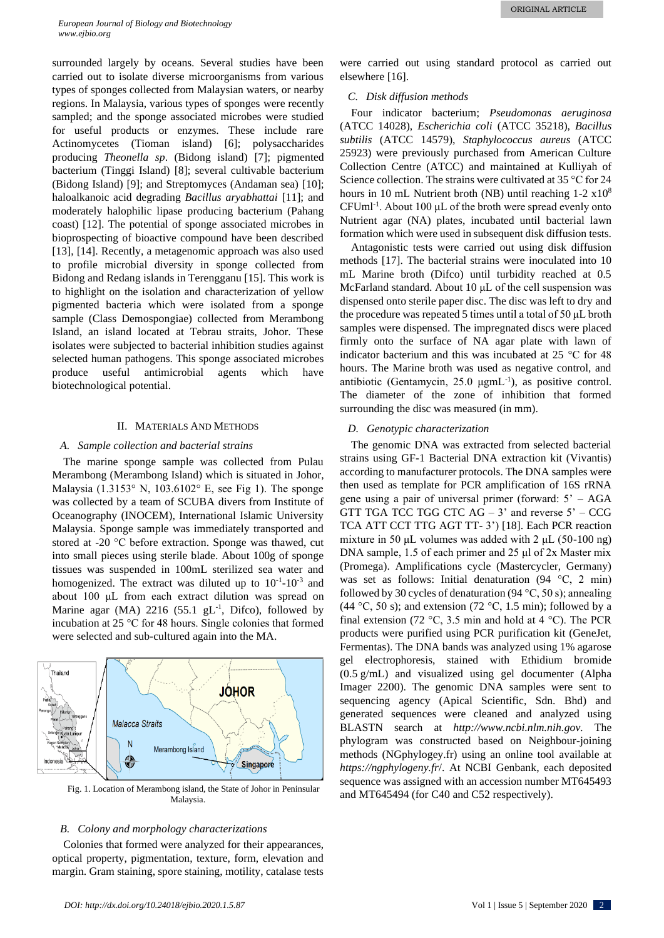surrounded largely by oceans. Several studies have been carried out to isolate diverse microorganisms from various types of sponges collected from Malaysian waters, or nearby regions. In Malaysia, various types of sponges were recently sampled; and the sponge associated microbes were studied for useful products or enzymes. These include rare Actinomycetes (Tioman island) [\[6\]](#page-4-5); polysaccharides producing *Theonella sp*. (Bidong island) [\[7\]](#page-4-6); pigmented bacterium (Tinggi Island) [\[8\]](#page-4-7); several cultivable bacterium (Bidong Island) [\[9\]](#page-4-8); and Streptomyces (Andaman sea) [\[10\]](#page-4-9); haloalkanoic acid degrading *Bacillus aryabhattai* [\[11\]](#page-4-10); and moderately halophilic lipase producing bacterium (Pahang coast) [\[12\]](#page-4-11). The potential of sponge associated microbes in bioprospecting of bioactive compound have been described [\[13\]](#page-4-12), [\[14\]](#page-4-13). Recently, a metagenomic approach was also used to profile microbial diversity in sponge collected from Bidong and Redang islands in Terengganu [\[15\]](#page-4-14). This work is to highlight on the isolation and characterization of yellow pigmented bacteria which were isolated from a sponge sample (Class Demospongiae) collected from Merambong Island, an island located at Tebrau straits, Johor. These isolates were subjected to bacterial inhibition studies against selected human pathogens. This sponge associated microbes produce useful antimicrobial agents which have biotechnological potential.

### II. MATERIALS AND METHODS

#### *A. Sample collection and bacterial strains*

The marine sponge sample was collected from Pulau Merambong (Merambong Island) which is situated in Johor, Malaysia (1.3153° N, 103.6102° E, see Fig 1). The sponge was collected by a team of SCUBA divers from Institute of Oceanography (INOCEM), International Islamic University Malaysia. Sponge sample was immediately transported and stored at -20 °C before extraction. Sponge was thawed, cut into small pieces using sterile blade. About 100g of sponge tissues was suspended in 100mL sterilized sea water and homogenized. The extract was diluted up to  $10^{-1}$ - $10^{-3}$  and about 100 μL from each extract dilution was spread on Marine agar (MA)  $2216$  (55.1 gL<sup>-1</sup>, Difco), followed by incubation at 25 °C for 48 hours. Single colonies that formed were selected and sub-cultured again into the MA.



Fig. 1. Location of Merambong island, the State of Johor in Peninsular Malaysia.

#### *B. Colony and morphology characterizations*

Colonies that formed were analyzed for their appearances, optical property, pigmentation, texture, form, elevation and margin. Gram staining, spore staining, motility, catalase tests

were carried out using standard protocol as carried out elsewhere [\[16\]](#page-4-15).

## *C. Disk diffusion methods*

Four indicator bacterium; *Pseudomonas aeruginosa* (ATCC 14028), *Escherichia coli* (ATCC 35218), *Bacillus subtilis* (ATCC 14579), *Staphylococcus aureus* (ATCC 25923) were previously purchased from American Culture Collection Centre (ATCC) and maintained at Kulliyah of Science collection. The strains were cultivated at 35 °C for 24 hours in 10 mL Nutrient broth (NB) until reaching 1-2  $\times 10^8$ CFUml-1 . About 100 μL of the broth were spread evenly onto Nutrient agar (NA) plates, incubated until bacterial lawn formation which were used in subsequent disk diffusion tests.

Antagonistic tests were carried out using disk diffusion methods [\[17\]](#page-4-16). The bacterial strains were inoculated into 10 mL Marine broth (Difco) until turbidity reached at 0.5 McFarland standard. About 10 μL of the cell suspension was dispensed onto sterile paper disc. The disc was left to dry and the procedure was repeated 5 times until a total of 50 μL broth samples were dispensed. The impregnated discs were placed firmly onto the surface of NA agar plate with lawn of indicator bacterium and this was incubated at 25 °C for 48 hours. The Marine broth was used as negative control, and antibiotic (Gentamycin,  $25.0 \mu g m L^{-1}$ ), as positive control. The diameter of the zone of inhibition that formed surrounding the disc was measured (in mm).

#### *D. Genotypic characterization*

The genomic DNA was extracted from selected bacterial strains using GF-1 Bacterial DNA extraction kit (Vivantis) according to manufacturer protocols. The DNA samples were then used as template for PCR amplification of 16S rRNA gene using a pair of universal primer (forward: 5' – AGA GTT TGA TCC TGG CTC  $AG - 3'$  and reverse  $5' - CCG$ TCA ATT CCT TTG AGT TT- 3') [\[18\]](#page-4-17). Each PCR reaction mixture in 50 μL volumes was added with 2 μL (50-100 ng) DNA sample, 1.5 of each primer and 25 μl of 2x Master mix (Promega). Amplifications cycle (Mastercycler, Germany) was set as follows: Initial denaturation (94 °C, 2 min) followed by 30 cycles of denaturation (94  $\degree$ C, 50 s); annealing (44 °C, 50 s); and extension (72 °C, 1.5 min); followed by a final extension (72 °C, 3.5 min and hold at 4 °C). The PCR products were purified using PCR purification kit (GeneJet, Fermentas). The DNA bands was analyzed using 1% agarose gel electrophoresis, stained with Ethidium bromide (0.5 g/mL) and visualized using gel documenter (Alpha Imager 2200). The genomic DNA samples were sent to sequencing agency (Apical Scientific, Sdn. Bhd) and generated sequences were cleaned and analyzed using BLASTN search at *http://www.ncbi.nlm.nih.gov.* The phylogram was constructed based on Neighbour-joining methods (NGphylogey.fr) using an online tool available at *https://ngphylogeny.fr*/. At NCBI Genbank, each deposited sequence was assigned with an accession number MT645493 and MT645494 (for C40 and C52 respectively).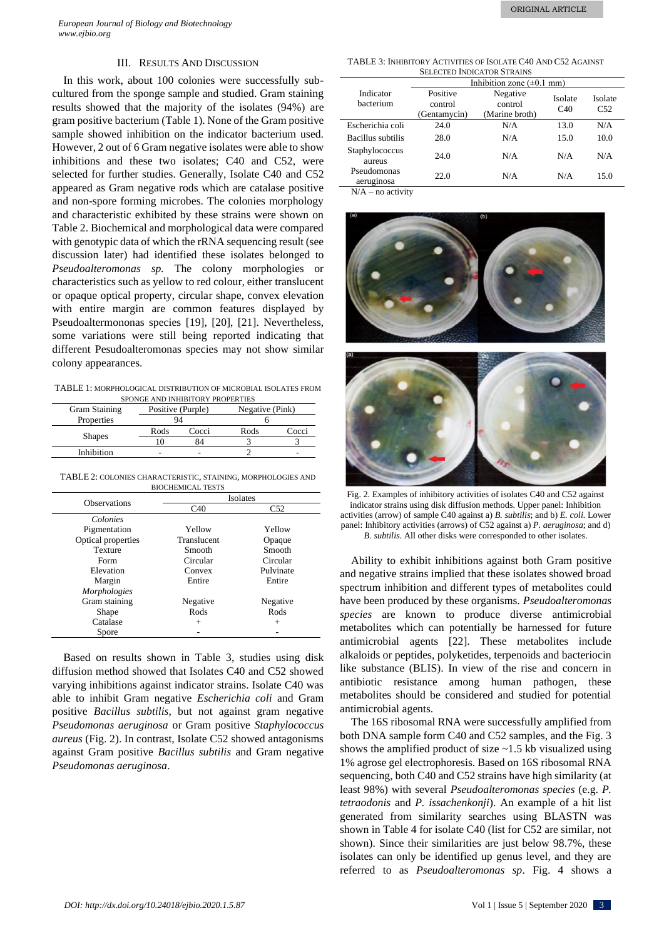## III. RESULTS AND DISCUSSION

In this work, about 100 colonies were successfully subcultured from the sponge sample and studied. Gram staining results showed that the majority of the isolates (94%) are gram positive bacterium (Table 1). None of the Gram positive sample showed inhibition on the indicator bacterium used. However, 2 out of 6 Gram negative isolates were able to show inhibitions and these two isolates; C40 and C52, were selected for further studies. Generally, Isolate C40 and C52 appeared as Gram negative rods which are catalase positive and non-spore forming microbes. The colonies morphology and characteristic exhibited by these strains were shown on Table 2. Biochemical and morphological data were compared with genotypic data of which the rRNA sequencing result (see discussion later) had identified these isolates belonged to *Pseudoalteromonas sp.* The colony morphologies or characteristics such as yellow to red colour, either translucent or opaque optical property, circular shape, convex elevation with entire margin are common features displayed by Pseudoaltermononas species [\[19\]](#page-4-18), [\[20\]](#page-4-19), [\[21\]](#page-4-20). Nevertheless, some variations were still being reported indicating that different Pesudoalteromonas species may not show similar colony appearances.

TABLE 1: MORPHOLOGICAL DISTRIBUTION OF MICROBIAL ISOLATES FROM SPONGE AND INHIBITORY PROPERTIES

| <b>Gram Staining</b> | Positive (Purple) |       | Negative (Pink) |       |
|----------------------|-------------------|-------|-----------------|-------|
| Properties           |                   |       |                 |       |
| <b>Shapes</b>        | Rods              | Cocci | Rods            | Cocci |
|                      |                   |       |                 |       |
| Inhibition           | -                 |       |                 | -     |

TABLE 2: COLONIES CHARACTERISTIC, STAINING, MORPHOLOGIES AND BIOCHEMICAL TESTS

|                     | Isolates    |           |  |
|---------------------|-------------|-----------|--|
| <b>Observations</b> | C40         | C52       |  |
| Colonies            |             |           |  |
| Pigmentation        | Yellow      | Yellow    |  |
| Optical properties  | Translucent | Opaque    |  |
| <b>Texture</b>      | Smooth      | Smooth    |  |
| Form                | Circular    | Circular  |  |
| Elevation           | Convex      | Pulvinate |  |
| Margin              | Entire      | Entire    |  |
| Morphologies        |             |           |  |
| Gram staining       | Negative    | Negative  |  |
| Shape               | Rods        | Rods      |  |
| Catalase            | $+$         | $+$       |  |
| Spore               |             |           |  |

Based on results shown in Table 3, studies using disk diffusion method showed that Isolates C40 and C52 showed varying inhibitions against indicator strains. Isolate C40 was able to inhibit Gram negative *Escherichia coli* and Gram positive *Bacillus subtilis*, but not against gram negative *Pseudomonas aeruginosa* or Gram positive *Staphylococcus aureus* (Fig. 2). In contrast, Isolate C52 showed antagonisms against Gram positive *Bacillus subtilis* and Gram negative *Pseudomonas aeruginosa*.

TABLE 3: INHIBITORY ACTIVITIES OF ISOLATE C40 AND C52 AGAINST SELECTED INDICATOR STRAINS

|                                   | Inhibition zone $(\pm 0.1 \text{ mm})$ |                                       |                |                |  |
|-----------------------------------|----------------------------------------|---------------------------------------|----------------|----------------|--|
| Indicator<br>bacterium            | Positive<br>control<br>(Gentamycin)    | Negative<br>control<br>(Marine broth) | Isolate<br>C40 | Isolate<br>C52 |  |
| Escherichia coli                  | 24.0                                   | N/A                                   | 13.0           | N/A            |  |
| Bacillus subtilis                 | 28.0                                   | N/A                                   | 15.0           | 10.0           |  |
| Staphylococcus<br>aureus          | 24.0                                   | N/A                                   | N/A            | N/A            |  |
| Pseudomonas<br>aeruginosa         | 22.0                                   | N/A                                   | N/A            | 15.0           |  |
| <u>na aatiisti</u><br><b>NT/A</b> |                                        |                                       |                |                |  |

 $N/A$  – no activity





Fig. 2. Examples of inhibitory activities of isolates C40 and C52 against indicator strains using disk diffusion methods. Upper panel: Inhibition activities (arrow) of sample C40 against a) *B. subtilis*; and b) *E. coli.* Lower panel: Inhibitory activities (arrows) of C52 against a) *P. aeruginosa*; and d) *B. subtilis*. All other disks were corresponded to other isolates.

Ability to exhibit inhibitions against both Gram positive and negative strains implied that these isolates showed broad spectrum inhibition and different types of metabolites could have been produced by these organisms. *Pseudoalteromonas species* are known to produce diverse antimicrobial metabolites which can potentially be harnessed for future antimicrobial agents [\[22\]](#page-4-21). These metabolites include alkaloids or peptides, polyketides, terpenoids and bacteriocin like substance (BLIS). In view of the rise and concern in antibiotic resistance among human pathogen, these metabolites should be considered and studied for potential antimicrobial agents.

The 16S ribosomal RNA were successfully amplified from both DNA sample form C40 and C52 samples, and the Fig. 3 shows the amplified product of size ~1.5 kb visualized using 1% agrose gel electrophoresis. Based on 16S ribosomal RNA sequencing, both C40 and C52 strains have high similarity (at least 98%) with several *Pseudoalteromonas species* (e.g. *P. tetraodonis* and *P. issachenkonji*). An example of a hit list generated from similarity searches using BLASTN was shown in Table 4 for isolate C40 (list for C52 are similar, not shown). Since their similarities are just below 98.7%, these isolates can only be identified up genus level, and they are referred to as *Pseudoalteromonas sp*. Fig. 4 shows a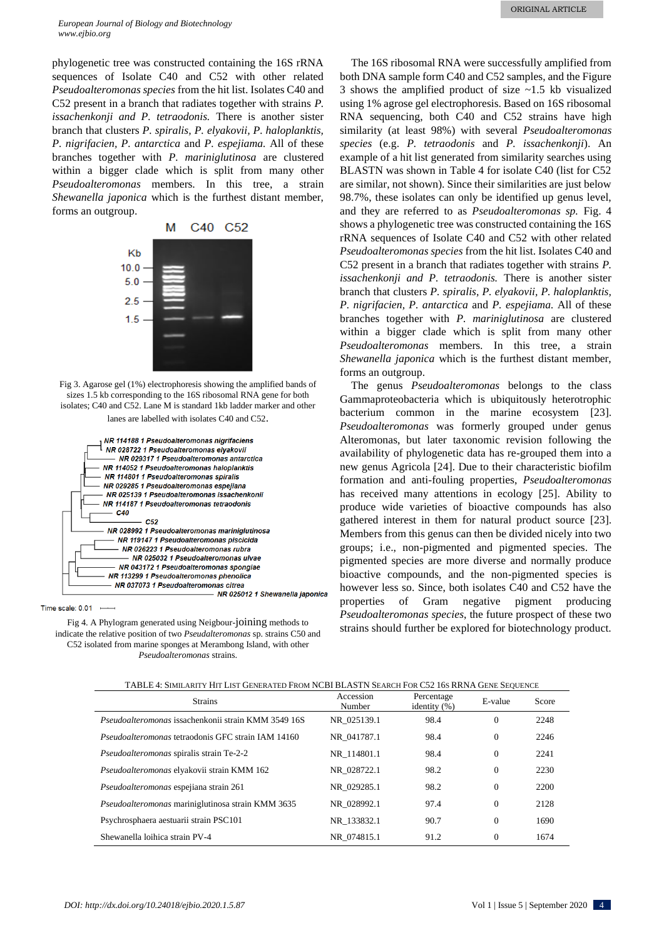phylogenetic tree was constructed containing the 16S rRNA sequences of Isolate C40 and C52 with other related *Pseudoalteromonas species* from the hit list. Isolates C40 and C52 present in a branch that radiates together with strains *P. issachenkonji and P. tetraodonis.* There is another sister branch that clusters *P. spiralis, P. elyakovii, P. haloplanktis, P. nigrifacien, P. antarctica* and *P. espejiama.* All of these branches together with *P. mariniglutinosa* are clustered within a bigger clade which is split from many other *Pseudoalteromonas* members. In this tree, a strain *Shewanella japonica* which is the furthest distant member, forms an outgroup.



Fig 3. Agarose gel (1%) electrophoresis showing the amplified bands of sizes 1.5 kb corresponding to the 16S ribosomal RNA gene for both isolates; C40 and C52. Lane M is standard 1kb ladder marker and other lanes are labelled with isolates C40 and C52.

| NR 114188 1 Pseudoalteromonas nigrifaciens    |
|-----------------------------------------------|
| NR 028722 1 Pseudoalteromonas elyakovii       |
| NR 029317 1 Pseudoalteromonas antarctica      |
| NR 114052 1 Pseudoalteromonas haloplanktis    |
| NR 114801 1 Pseudoalteromonas spiralis        |
| NR 029285 1 Pseudoalteromonas espejiana       |
| NR 025139 1 Pseudoalteromonas issachenkonii   |
| NR 114187 1 Pseudoalteromonas tetraodonis     |
| C40                                           |
| C52                                           |
| NR 028992 1 Pseudoalteromonas mariniglutinosa |
| NR 119147 1 Pseudoalteromonas piscicida       |
| NR 026223 1 Pseudoalteromonas rubra           |
| NR 025032 1 Pseudoalteromonas ulvae           |
| NR 043172 1 Pseudoalteromonas spongiae        |
| NR 113299 1 Pseudoalteromonas phenolica       |
| NR 037073 1 Pseudoalteromonas citrea          |
| NR 025012 1 Shewanella japonica               |

Time scale:  $0.01$   $\longrightarrow$ 

Fig 4. A Phylogram generated using Neigbour-joining methods to indicate the relative position of two *Pseudalteromonas* sp. strains C50 and C52 isolated from marine sponges at Merambong Island, with other *Pseudoalteromonas* strains.

The 16S ribosomal RNA were successfully amplified from both DNA sample form C40 and C52 samples, and the Figure 3 shows the amplified product of size ~1.5 kb visualized using 1% agrose gel electrophoresis. Based on 16S ribosomal RNA sequencing, both C40 and C52 strains have high similarity (at least 98%) with several *Pseudoalteromonas species* (e.g. *P. tetraodonis* and *P. issachenkonji*). An example of a hit list generated from similarity searches using BLASTN was shown in Table 4 for isolate C40 (list for C52 are similar, not shown). Since their similarities are just below 98.7%, these isolates can only be identified up genus level, and they are referred to as *Pseudoalteromonas sp.* Fig. 4 shows a phylogenetic tree was constructed containing the 16S rRNA sequences of Isolate C40 and C52 with other related *Pseudoalteromonas species* from the hit list. Isolates C40 and C52 present in a branch that radiates together with strains *P. issachenkonji and P. tetraodonis.* There is another sister branch that clusters *P. spiralis, P. elyakovii, P. haloplanktis, P. nigrifacien, P. antarctica* and *P. espejiama.* All of these branches together with *P. mariniglutinosa* are clustered within a bigger clade which is split from many other *Pseudoalteromonas* members. In this tree, a strain *Shewanella japonica* which is the furthest distant member, forms an outgroup.

The genus *Pseudoalteromonas* belongs to the class Gammaproteobacteria which is ubiquitously heterotrophic bacterium common in the marine ecosystem [\[23\]](#page-4-22). *Pseudoalteromonas* was formerly grouped under genus Alteromonas, but later taxonomic revision following the availability of phylogenetic data has re-grouped them into a new genus Agricola [\[24\]](#page-4-23). Due to their characteristic biofilm formation and anti-fouling properties, *Pseudoalteromonas* has received many attentions in ecology [\[25\]](#page-4-24). Ability to produce wide varieties of bioactive compounds has also gathered interest in them for natural product source [\[23\]](#page-4-22). Members from this genus can then be divided nicely into two groups; i.e., non-pigmented and pigmented species. The pigmented species are more diverse and normally produce bioactive compounds, and the non-pigmented species is however less so. Since, both isolates C40 and C52 have the properties of Gram negative pigment producing *Pseudoalteromonas species*, the future prospect of these two strains should further be explored for biotechnology product.

| <b>Strains</b>                                            | Accession<br>Number | Percentage<br>identity $(\%)$ | E-value      | Score |
|-----------------------------------------------------------|---------------------|-------------------------------|--------------|-------|
| Pseudoalteromonas issachenkonii strain KMM 3549 16S       | NR 025139.1         | 98.4                          | $\Omega$     | 2248  |
| <i>Pseudoalteromonas</i> tetraodonis GFC strain IAM 14160 | NR 041787.1         | 98.4                          | $\Omega$     | 2246  |
| Pseudoalteromonas spiralis strain Te-2-2                  | NR 114801.1         | 98.4                          | $\Omega$     | 2241  |
| Pseudoalteromonas elyakovii strain KMM 162                | NR 028722.1         | 98.2                          | $\Omega$     | 2230  |
| Pseudoalteromonas espejiana strain 261                    | NR 029285.1         | 98.2                          | $\Omega$     | 2200  |
| Pseudoalteromonas mariniglutinosa strain KMM 3635         | NR 028992.1         | 97.4                          | $\mathbf{0}$ | 2128  |
| Psychrosphaera aestuarii strain PSC101                    | NR 133832.1         | 90.7                          | $\Omega$     | 1690  |
| Shewanella loihica strain PV-4                            | NR 074815.1         | 91.2                          | $\Omega$     | 1674  |

TABLE 4: SIMILARITY HIT LIST GENERATED FROM NCBI BLASTN SEARCH FOR C52 16S RRNA GENE SEQUENCE